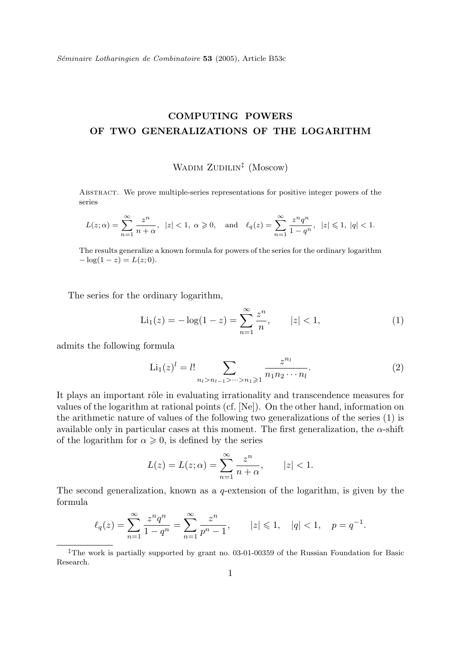Séminaire Lotharingien de Combinatoire 53 (2005), Article B53c

## COMPUTING POWERS OF TWO GENERALIZATIONS OF THE LOGARITHM

## WADIM ZUDILIN<sup>‡</sup> (Moscow)

Abstract. We prove multiple-series representations for positive integer powers of the series

$$
L(z; \alpha) = \sum_{n=1}^{\infty} \frac{z^n}{n + \alpha}, \ \ |z| < 1, \ \alpha \geq 0, \quad \text{and} \quad \ell_q(z) = \sum_{n=1}^{\infty} \frac{z^n q^n}{1 - q^n}, \ \ |z| \leq 1, \ |q| < 1.
$$

The results generalize a known formula for powers of the series for the ordinary logarithm  $-\log(1-z) = L(z; 0).$ 

The series for the ordinary logarithm,

$$
\text{Li}_1(z) = -\log(1-z) = \sum_{n=1}^{\infty} \frac{z^n}{n}, \qquad |z| < 1,\tag{1}
$$

admits the following formula

$$
\text{Li}_1(z)^l = l! \sum_{n_l > n_{l-1} > \dots > n_1 \geqslant 1} \frac{z^{n_l}}{n_1 n_2 \cdots n_l}.
$$
 (2)

It plays an important rôle in evaluating irrationality and transcendence measures for values of the logarithm at rational points (cf. [Ne]). On the other hand, information on the arithmetic nature of values of the following two generalizations of the series (1) is available only in particular cases at this moment. The first generalization, the  $\alpha$ -shift of the logarithm for  $\alpha \geqslant 0$ , is defined by the series

$$
L(z) = L(z; \alpha) = \sum_{n=1}^{\infty} \frac{z^n}{n + \alpha}, \qquad |z| < 1.
$$

The second generalization, known as a q-extension of the logarithm, is given by the formula

$$
\ell_q(z) = \sum_{n=1}^\infty \frac{z^n q^n}{1-q^n} = \sum_{n=1}^\infty \frac{z^n}{p^n-1}, \qquad |z| \leq 1, \quad |q| < 1, \quad p = q^{-1}.
$$

<sup>‡</sup>The work is partially supported by grant no. 03-01-00359 of the Russian Foundation for Basic Research.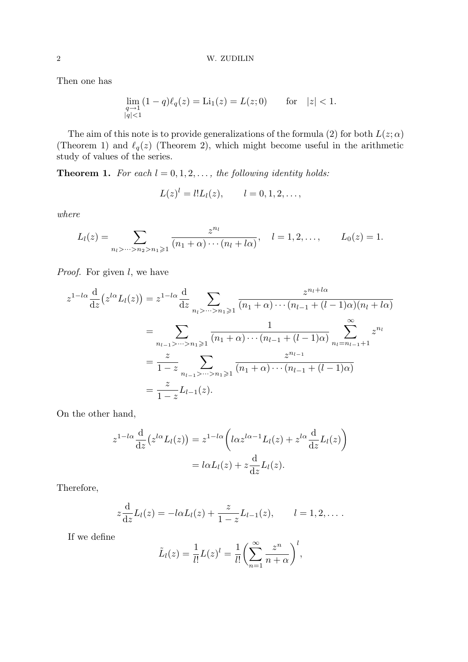Then one has

$$
\lim_{\substack{q \to 1 \\ |q| < 1}} (1 - q) \ell_q(z) = \text{Li}_1(z) = L(z; 0) \qquad \text{for} \quad |z| < 1.
$$

The aim of this note is to provide generalizations of the formula (2) for both  $L(z; \alpha)$ (Theorem 1) and  $\ell_q(z)$  (Theorem 2), which might become useful in the arithmetic study of values of the series.

**Theorem 1.** For each  $l = 0, 1, 2, \ldots$ , the following identity holds:

$$
L(z)^l = l!L_l(z), \t l = 0, 1, 2, \ldots,
$$

where

$$
L_l(z) = \sum_{n_l > \dots > n_2 > n_1 \geqslant 1} \frac{z^{n_l}}{(n_1 + \alpha) \cdots (n_l + l\alpha)}, \quad l = 1, 2, \dots, \qquad L_0(z) = 1.
$$

*Proof.* For given  $l$ , we have

$$
z^{1-l\alpha} \frac{d}{dz} (z^{l\alpha} L_l(z)) = z^{1-l\alpha} \frac{d}{dz} \sum_{n_l > \dots > n_1 \geqslant 1} \frac{z^{n_l + l\alpha}}{(n_1 + \alpha) \cdots (n_{l-1} + (l-1)\alpha)(n_l + l\alpha)}
$$
  
= 
$$
\sum_{n_{l-1} > \dots > n_1 \geqslant 1} \frac{1}{(n_1 + \alpha) \cdots (n_{l-1} + (l-1)\alpha)} \sum_{n_l = n_{l-1} + 1}^{\infty} z^{n_l}
$$
  
= 
$$
\frac{z}{1-z} \sum_{n_{l-1} > \dots > n_1 \geqslant 1} \frac{z^{n_{l-1}}}{(n_1 + \alpha) \cdots (n_{l-1} + (l-1)\alpha)}
$$
  
= 
$$
\frac{z}{1-z} L_{l-1}(z).
$$

On the other hand,

$$
z^{1-l\alpha} \frac{d}{dz} (z^{l\alpha} L_l(z)) = z^{1-l\alpha} \left( l\alpha z^{l\alpha-1} L_l(z) + z^{l\alpha} \frac{d}{dz} L_l(z) \right)
$$

$$
= l\alpha L_l(z) + z \frac{d}{dz} L_l(z).
$$

Therefore,

$$
z\frac{d}{dz}L_l(z) = -l\alpha L_l(z) + \frac{z}{1-z}L_{l-1}(z), \qquad l = 1, 2, \dots.
$$

If we define

$$
\tilde{L}_l(z) = \frac{1}{l!} L(z)^l = \frac{1}{l!} \left( \sum_{n=1}^{\infty} \frac{z^n}{n + \alpha} \right)^l,
$$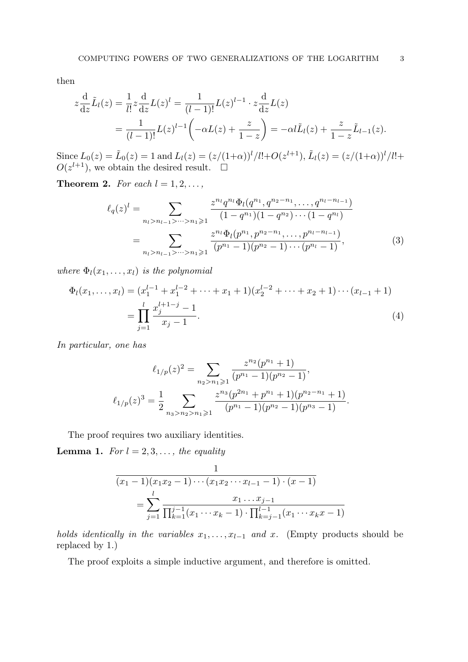then

$$
z\frac{d}{dz}\tilde{L}_l(z) = \frac{1}{l!}z\frac{d}{dz}L(z)^l = \frac{1}{(l-1)!}L(z)^{l-1} \cdot z\frac{d}{dz}L(z)
$$
  
= 
$$
\frac{1}{(l-1)!}L(z)^{l-1}\left(-\alpha L(z) + \frac{z}{1-z}\right) = -\alpha L_l(z) + \frac{z}{1-z}\tilde{L}_{l-1}(z).
$$

Since  $L_0(z) = \tilde{L}_0(z) = 1$  and  $L_l(z) = (z/(1+\alpha))^{l} / l! + O(z^{l+1}), \tilde{L}_l(z) = (z/(1+\alpha))^{l} / l! +$  $O(z^{l+1})$ , we obtain the desired result.  $\square$ 

**Theorem 2.** For each  $l = 1, 2, \ldots$ ,

$$
\ell_q(z)^l = \sum_{n_l > n_{l-1} > \dots > n_1 \geqslant 1} \frac{z^{n_l} q^{n_l} \Phi_l(q^{n_1}, q^{n_2 - n_1}, \dots, q^{n_l - n_{l-1}})}{(1 - q^{n_1})(1 - q^{n_2}) \cdots (1 - q^{n_l})}
$$

$$
= \sum_{n_l > n_{l-1} > \dots > n_1 \geqslant 1} \frac{z^{n_l} \Phi_l(p^{n_1}, p^{n_2 - n_1}, \dots, p^{n_l - n_{l-1}})}{(p^{n_1} - 1)(p^{n_2} - 1) \cdots (p^{n_l} - 1)},
$$
(3)

where  $\Phi_l(x_1,\ldots,x_l)$  is the polynomial

$$
\Phi_l(x_1, \dots, x_l) = (x_1^{l-1} + x_1^{l-2} + \dots + x_1 + 1)(x_2^{l-2} + \dots + x_2 + 1) \dots (x_{l-1} + 1)
$$
\n
$$
= \prod_{j=1}^l \frac{x_j^{l+1-j} - 1}{x_j - 1}.
$$
\n(4)

In particular, one has

$$
\ell_{1/p}(z)^2 = \sum_{n_2 > n_1 \geqslant 1} \frac{z^{n_2}(p^{n_1} + 1)}{(p^{n_1} - 1)(p^{n_2} - 1)},
$$

$$
\ell_{1/p}(z)^3 = \frac{1}{2} \sum_{n_3 > n_2 > n_1 \geqslant 1} \frac{z^{n_3}(p^{2n_1} + p^{n_1} + 1)(p^{n_2 - n_1} + 1)}{(p^{n_1} - 1)(p^{n_2} - 1)(p^{n_3} - 1)}.
$$

The proof requires two auxiliary identities.

**Lemma 1.** For  $l = 2, 3, \ldots$ , the equality

$$
\frac{1}{(x_1 - 1)(x_1x_2 - 1)\cdots(x_1x_2\cdots x_{l-1} - 1) \cdot (x - 1)}
$$
\n
$$
= \sum_{j=1}^{l} \frac{x_1 \ldots x_{j-1}}{\prod_{k=1}^{j-1} (x_1 \cdots x_k - 1) \cdot \prod_{k=j-1}^{l-1} (x_1 \cdots x_k x - 1)}
$$

holds identically in the variables  $x_1, \ldots, x_{l-1}$  and x. (Empty products should be replaced by 1.)

The proof exploits a simple inductive argument, and therefore is omitted.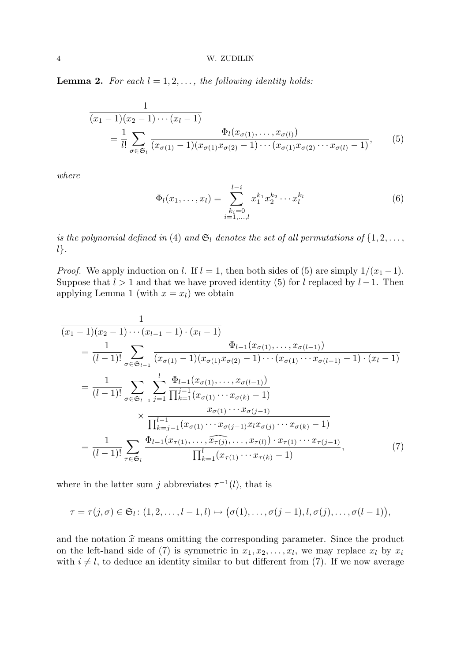**Lemma 2.** For each  $l = 1, 2, \ldots$ , the following identity holds:

$$
\frac{1}{(x_1 - 1)(x_2 - 1)\cdots(x_l - 1)} = \frac{1}{l!} \sum_{\sigma \in \mathfrak{S}_l} \frac{\Phi_l(x_{\sigma(1)}, \dots, x_{\sigma(l)})}{(x_{\sigma(1)} - 1)(x_{\sigma(1)}x_{\sigma(2)} - 1)\cdots(x_{\sigma(1)}x_{\sigma(2)}\cdots x_{\sigma(l)} - 1)},
$$
\n(5)

where

$$
\Phi_l(x_1,\ldots,x_l) = \sum_{\substack{k_i=0\\i=1,\ldots,l}}^{l-i} x_1^{k_1} x_2^{k_2} \cdots x_l^{k_l}
$$
\n(6)

is the polynomial defined in (4) and  $\mathfrak{S}_l$  denotes the set of all permutations of  $\{1, 2, \ldots,$ l}.

*Proof.* We apply induction on l. If  $l = 1$ , then both sides of (5) are simply  $1/(x_1 - 1)$ . Suppose that  $l > 1$  and that we have proved identity (5) for l replaced by  $l - 1$ . Then applying Lemma 1 (with  $x = x_l$ ) we obtain

$$
\frac{1}{(x_1 - 1)(x_2 - 1)\cdots(x_{l-1} - 1) \cdot (x_l - 1)} \\
= \frac{1}{(l-1)!} \sum_{\sigma \in \mathfrak{S}_{l-1}} \frac{\Phi_{l-1}(x_{\sigma(1)}, \dots, x_{\sigma(l-1)})}{(x_{\sigma(1)} - 1)(x_{\sigma(1)}x_{\sigma(2)} - 1)\cdots(x_{\sigma(1)}\cdots x_{\sigma(l-1)} - 1) \cdot (x_l - 1)} \\
= \frac{1}{(l-1)!} \sum_{\sigma \in \mathfrak{S}_{l-1}} \sum_{j=1}^{l} \frac{\Phi_{l-1}(x_{\sigma(1)}, \dots, x_{\sigma(l-1)})}{\prod_{k=1}^{j-1} (x_{\sigma(1)} \cdots x_{\sigma(k)} - 1)} \\
\times \frac{x_{\sigma(1)} \cdots x_{\sigma(j-1)}}{\prod_{k=j-1}^{l-1} (x_{\sigma(1)} \cdots x_{\sigma(j-1)}x_ix_{\sigma(j)} \cdots x_{\sigma(k)} - 1)} \\
= \frac{1}{(l-1)!} \sum_{\tau \in \mathfrak{S}_l} \frac{\Phi_{l-1}(x_{\tau(1)}, \dots, \widehat{x_{\tau(j)}}, \dots, x_{\tau(l)}) \cdot x_{\tau(1)} \cdots x_{\tau(j-1)}}{\prod_{k=1}^{l} (x_{\tau(1)} \cdots x_{\tau(k)} - 1)},
$$
\n(7)

where in the latter sum j abbreviates  $\tau^{-1}(l)$ , that is

$$
\tau = \tau(j,\sigma) \in \mathfrak{S}_l : (1,2,\ldots,l-1,l) \mapsto (\sigma(1),\ldots,\sigma(j-1),l,\sigma(j),\ldots,\sigma(l-1)),
$$

and the notation  $\hat{x}$  means omitting the corresponding parameter. Since the product on the left-hand side of (7) is symmetric in  $x_1, x_2, \ldots, x_l$ , we may replace  $x_l$  by  $x_i$ with  $i \neq l$ , to deduce an identity similar to but different from (7). If we now average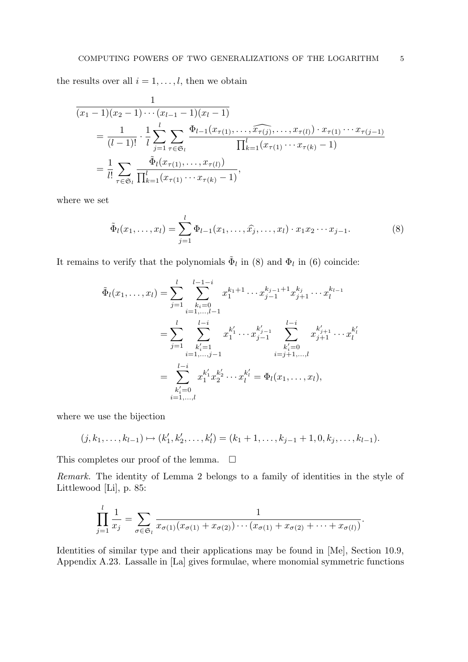the results over all  $i = 1, \ldots, l$ , then we obtain

$$
\frac{1}{(x_1-1)(x_2-1)\cdots(x_{l-1}-1)(x_l-1)} \\
= \frac{1}{(l-1)!} \cdot \frac{1}{l} \sum_{j=1}^l \sum_{\tau \in \mathfrak{S}_l} \frac{\Phi_{l-1}(x_{\tau(1)}, \ldots, \widehat{x_{\tau(j)}}, \ldots, x_{\tau(l)}) \cdot x_{\tau(1)} \cdots x_{\tau(j-1)}}{\prod_{k=1}^l (x_{\tau(1)} \cdots x_{\tau(k)} - 1)} \\
= \frac{1}{l!} \sum_{\tau \in \mathfrak{S}_l} \frac{\tilde{\Phi}_l(x_{\tau(1)}, \ldots, x_{\tau(l)})}{\prod_{k=1}^l (x_{\tau(1)} \cdots x_{\tau(k)} - 1)},
$$

where we set

$$
\tilde{\Phi}_l(x_1, \dots, x_l) = \sum_{j=1}^l \Phi_{l-1}(x_1, \dots, \hat{x_j}, \dots, x_l) \cdot x_1 x_2 \cdots x_{j-1}.
$$
\n(8)

It remains to verify that the polynomials  $\tilde{\Phi}_l$  in (8) and  $\Phi_l$  in (6) coincide:

$$
\tilde{\Phi}_{l}(x_{1},...,x_{l}) = \sum_{j=1}^{l} \sum_{\substack{k_{i}=0 \ i=1,...,l-1}}^{l-1-i} x_{1}^{k_{1}+1} \cdots x_{j-1}^{k_{j-1}+1} x_{j+1}^{k_{j}} \cdots x_{l}^{k_{l-1}} \n= \sum_{j=1}^{l} \sum_{\substack{k'_{i}=1 \ i=1,...,j-1}}^{l-i} x_{1}^{k'_{1}} \cdots x_{j-1}^{k'_{j-1}} \sum_{\substack{k'_{i}=0 \ i=j+1,...,l}}^{l-i} x_{j+1}^{k'_{j+1}} \cdots x_{l}^{k'_{l}} \n= \sum_{\substack{k'_{i}=0 \ i=1,...,l}}^{l-i} x_{1}^{k'_{1}} x_{2}^{k'_{2}} \cdots x_{l}^{k'_{l}} = \Phi_{l}(x_{1},...,x_{l}),
$$

where we use the bijection

$$
(j,k_1,\ldots,k_{l-1})\mapsto (k'_1,k'_2,\ldots,k'_l)=(k_1+1,\ldots,k_{j-1}+1,0,k_j,\ldots,k_{l-1}).
$$

This completes our proof of the lemma.  $\square$ 

Remark. The identity of Lemma 2 belongs to a family of identities in the style of Littlewood [Li], p. 85:

$$
\prod_{j=1}^{l} \frac{1}{x_j} = \sum_{\sigma \in \mathfrak{S}_l} \frac{1}{x_{\sigma(1)}(x_{\sigma(1)} + x_{\sigma(2)}) \cdots (x_{\sigma(1)} + x_{\sigma(2)} + \cdots + x_{\sigma(l)})}.
$$

Identities of similar type and their applications may be found in [Me], Section 10.9, Appendix A.23. Lassalle in [La] gives formulae, where monomial symmetric functions